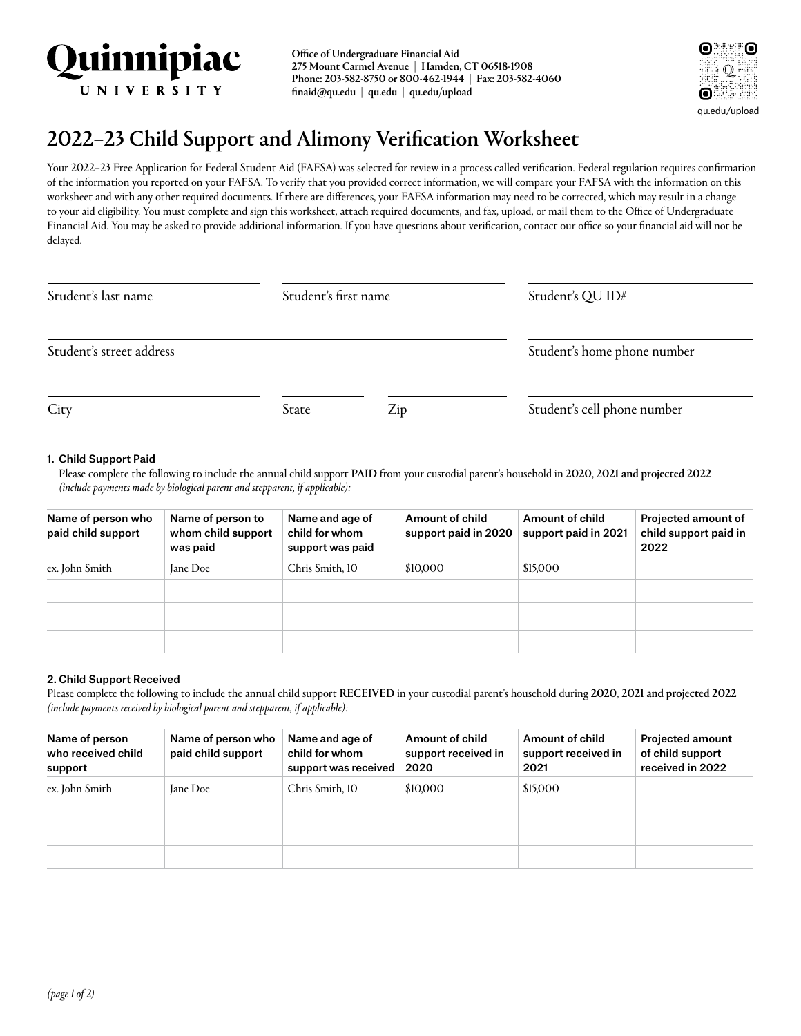

Office of Undergraduate Financial Aid 275 Mount Carmel Avenue | Hamden, CT 06518-1908 Phone: 203-582-8750 or 800-462-1944 | Fax: 203-582-4060 [finaid@qu.edu](<Varies>) | [qu.edu](<Varies>) | [qu.edu/upload](<Varies>)



# 2022–23 Child Support and Alimony Verification Worksheet

Your 2022–23 Free Application for Federal Student Aid (FAFSA) was selected for review in a process called verification. Federal regulation requires confirmation of the information you reported on your FAFSA. To verify that you provided correct information, we will compare your FAFSA with the information on this worksheet and with any other required documents. If there are differences, your FAFSA information may need to be corrected, which may result in a change to your aid eligibility. You must complete and sign this worksheet, attach required documents, and fax, upload, or mail them to the Office of Undergraduate Financial Aid. You may be asked to provide additional information. If you have questions about verification, contact our office so your financial aid will not be delayed.

| Student's last name      | Student's first name |     | Student's QU ID#            |  |
|--------------------------|----------------------|-----|-----------------------------|--|
| Student's street address |                      |     | Student's home phone number |  |
| City                     | State                | Zip | Student's cell phone number |  |

### 1. Child Support Paid

Please complete the following to include the annual child support PAID from your custodial parent's household in 2020, 2021 and projected 2022 *(include payments made by biological parent and stepparent, if applicable):*

| Name of person who<br>paid child support | Name of person to<br>whom child support<br>was paid | Name and age of<br>child for whom<br>support was paid | Amount of child<br>support paid in 2020 | Amount of child<br>support paid in 2021 | <b>Projected amount of</b><br>child support paid in<br>2022 |
|------------------------------------------|-----------------------------------------------------|-------------------------------------------------------|-----------------------------------------|-----------------------------------------|-------------------------------------------------------------|
| ex. John Smith                           | Jane Doe                                            | Chris Smith, 10                                       | \$10,000                                | \$15,000                                |                                                             |
|                                          |                                                     |                                                       |                                         |                                         |                                                             |
|                                          |                                                     |                                                       |                                         |                                         |                                                             |
|                                          |                                                     |                                                       |                                         |                                         |                                                             |

## 2. Child Support Received

Please complete the following to include the annual child support RECEIVED in your custodial parent's household during 2020, 2021 and projected 2022 *(include payments received by biological parent and stepparent, if applicable):*

| Name of person<br>who received child<br>support | Name of person who<br>paid child support | Name and age of<br>child for whom<br>support was received | Amount of child<br>support received in<br>2020 | Amount of child<br>support received in<br>2021 | <b>Projected amount</b><br>of child support<br>received in 2022 |
|-------------------------------------------------|------------------------------------------|-----------------------------------------------------------|------------------------------------------------|------------------------------------------------|-----------------------------------------------------------------|
| ex. John Smith                                  | Jane Doe                                 | Chris Smith, 10                                           | \$10,000                                       | \$15,000                                       |                                                                 |
|                                                 |                                          |                                                           |                                                |                                                |                                                                 |
|                                                 |                                          |                                                           |                                                |                                                |                                                                 |
|                                                 |                                          |                                                           |                                                |                                                |                                                                 |